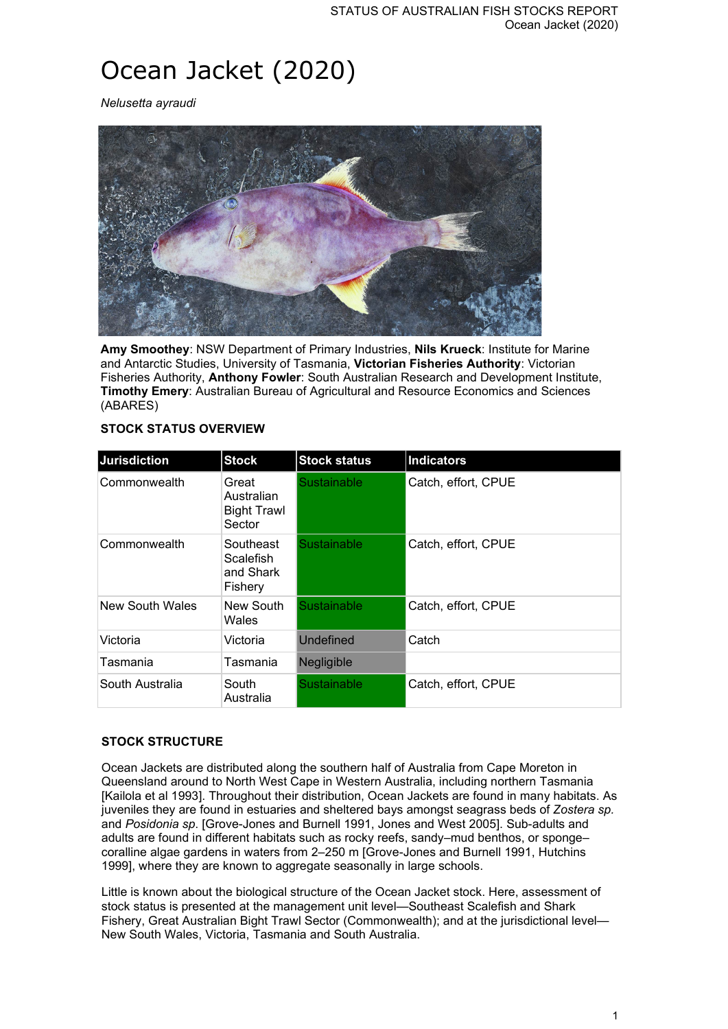# Ocean Jacket (2020)

*Nelusetta ayraudi*



**Amy Smoothey**: NSW Department of Primary Industries, **Nils Krueck**: Institute for Marine and Antarctic Studies, University of Tasmania, **Victorian Fisheries Authority**: Victorian Fisheries Authority, **Anthony Fowler**: South Australian Research and Development Institute, **Timothy Emery**: Australian Bureau of Agricultural and Resource Economics and Sciences (ABARES)

## **STOCK STATUS OVERVIEW**

| <b>Jurisdiction</b> | <b>Stock</b>                                          | <b>Stock status</b> | <b>Indicators</b>   |
|---------------------|-------------------------------------------------------|---------------------|---------------------|
| Commonwealth        | Great<br>Australian<br><b>Bight Trawl</b><br>Sector   | Sustainable         | Catch, effort, CPUE |
| Commonwealth        | Southeast<br><b>Scalefish</b><br>and Shark<br>Fishery | Sustainable         | Catch, effort, CPUE |
| New South Wales     | New South<br>Wales                                    | <b>Sustainable</b>  | Catch, effort, CPUE |
| Victoria            | Victoria                                              | Undefined           | Catch               |
| Tasmania            | Tasmania                                              | Negligible          |                     |
| South Australia     | South<br>Australia                                    | Sustainable         | Catch, effort, CPUE |

## **STOCK STRUCTURE**

Ocean Jackets are distributed along the southern half of Australia from Cape Moreton in Queensland around to North West Cape in Western Australia, including northern Tasmania [Kailola et al 1993]. Throughout their distribution, Ocean Jackets are found in many habitats. As juveniles they are found in estuaries and sheltered bays amongst seagrass beds of *Zostera sp.*  and *Posidonia sp*. [Grove-Jones and Burnell 1991, Jones and West 2005]. Sub-adults and adults are found in different habitats such as rocky reefs, sandy–mud benthos, or sponge– coralline algae gardens in waters from 2–250 m [Grove-Jones and Burnell 1991, Hutchins 1999], where they are known to aggregate seasonally in large schools.

Little is known about the biological structure of the Ocean Jacket stock. Here, assessment of stock status is presented at the management unit level—Southeast Scalefish and Shark Fishery, Great Australian Bight Trawl Sector (Commonwealth); and at the jurisdictional level— New South Wales, Victoria, Tasmania and South Australia.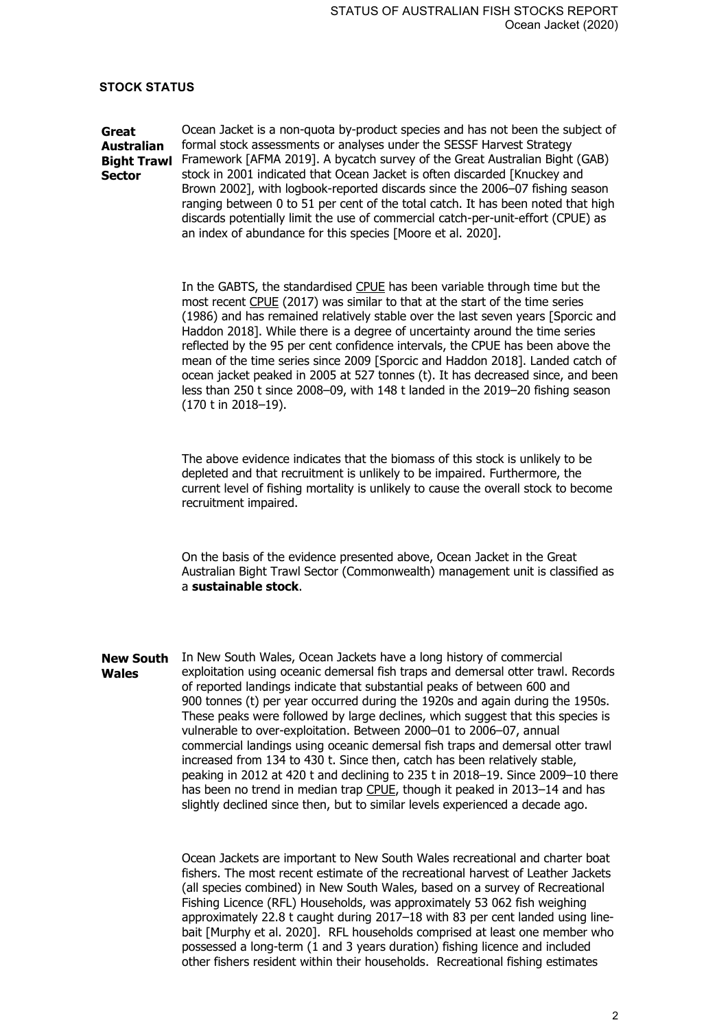#### **STOCK STATUS**

**Great Australian Bight Trawl**  Framework [AFMA 2019]. A bycatch survey of the Great Australian Bight (GAB) **Sector** Ocean Jacket is a non-quota by-product species and has not been the subject of formal stock assessments or analyses under the SESSF Harvest Strategy stock in 2001 indicated that Ocean Jacket is often discarded [Knuckey and Brown 2002], with logbook-reported discards since the 2006–07 fishing season ranging between 0 to 51 per cent of the total catch. It has been noted that high discards potentially limit the use of commercial catch-per-unit-effort (CPUE) as an index of abundance for this species [Moore et al. 2020].

> In the GABTS, the standardised CPUE has been variable through time but the most recent CPUE (2017) was similar to that at the start of the time series (1986) and has remained relatively stable over the last seven years [Sporcic and Haddon 2018]. While there is a degree of uncertainty around the time series reflected by the 95 per cent confidence intervals, the CPUE has been above the mean of the time series since 2009 [Sporcic and Haddon 2018]. Landed catch of ocean jacket peaked in 2005 at 527 tonnes (t). It has decreased since, and been less than 250 t since 2008–09, with 148 t landed in the 2019–20 fishing season (170 t in 2018–19).

The above evidence indicates that the biomass of this stock is unlikely to be depleted and that recruitment is unlikely to be impaired. Furthermore, the current level of fishing mortality is unlikely to cause the overall stock to become recruitment impaired.

On the basis of the evidence presented above, Ocean Jacket in the Great Australian Bight Trawl Sector (Commonwealth) management unit is classified as a **sustainable stock**.

**New South Wales** In New South Wales, Ocean Jackets have a long history of commercial exploitation using oceanic demersal fish traps and demersal otter trawl. Records of reported landings indicate that substantial peaks of between 600 and 900 tonnes (t) per year occurred during the 1920s and again during the 1950s. These peaks were followed by large declines, which suggest that this species is vulnerable to over-exploitation. Between 2000–01 to 2006–07, annual commercial landings using oceanic demersal fish traps and demersal otter trawl increased from 134 to 430 t. Since then, catch has been relatively stable, peaking in 2012 at 420 t and declining to 235 t in 2018–19. Since 2009–10 there has been no trend in median trap CPUE, though it peaked in 2013-14 and has slightly declined since then, but to similar levels experienced a decade ago.

> Ocean Jackets are important to New South Wales recreational and charter boat fishers. The most recent estimate of the recreational harvest of Leather Jackets (all species combined) in New South Wales, based on a survey of Recreational Fishing Licence (RFL) Households, was approximately 53 062 fish weighing approximately 22.8 t caught during 2017–18 with 83 per cent landed using linebait [Murphy et al. 2020]. RFL households comprised at least one member who possessed a long-term (1 and 3 years duration) fishing licence and included other fishers resident within their households. Recreational fishing estimates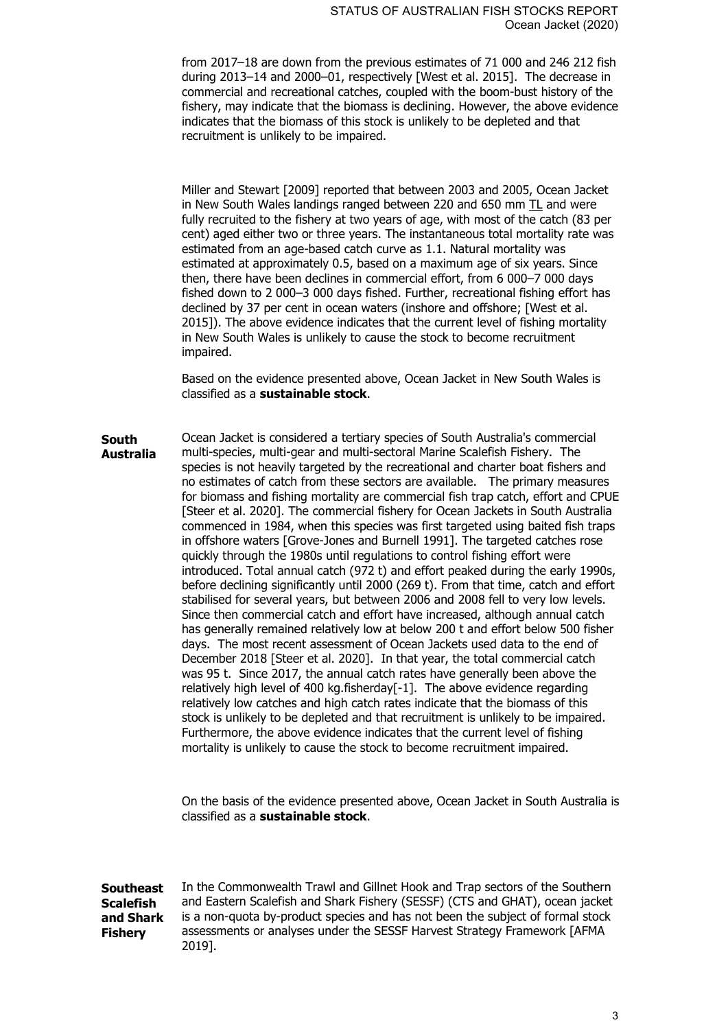from 2017–18 are down from the previous estimates of 71 000 and 246 212 fish during 2013–14 and 2000–01, respectively [West et al. 2015]. The decrease in commercial and recreational catches, coupled with the boom-bust history of the fishery, may indicate that the biomass is declining. However, the above evidence indicates that the biomass of this stock is unlikely to be depleted and that recruitment is unlikely to be impaired.

Miller and Stewart [2009] reported that between 2003 and 2005, Ocean Jacket in New South Wales landings ranged between 220 and 650 mm  $TL$  and were fully recruited to the fishery at two years of age, with most of the catch (83 per cent) aged either two or three years. The instantaneous total mortality rate was estimated from an age-based catch curve as 1.1. Natural mortality was estimated at approximately 0.5, based on a maximum age of six years. Since then, there have been declines in commercial effort, from 6 000–7 000 days fished down to 2 000–3 000 days fished. Further, recreational fishing effort has declined by 37 per cent in ocean waters (inshore and offshore; [West et al. 2015]). The above evidence indicates that the current level of fishing mortality in New South Wales is unlikely to cause the stock to become recruitment impaired.

Based on the evidence presented above, Ocean Jacket in New South Wales is classified as a **sustainable stock**.

**South Australia** Ocean Jacket is considered a tertiary species of South Australia's commercial multi-species, multi-gear and multi-sectoral Marine Scalefish Fishery. The species is not heavily targeted by the recreational and charter boat fishers and no estimates of catch from these sectors are available. The primary measures for biomass and fishing mortality are commercial fish trap catch, effort and CPUE [Steer et al. 2020]. The commercial fishery for Ocean Jackets in South Australia commenced in 1984, when this species was first targeted using baited fish traps in offshore waters [Grove-Jones and Burnell 1991]. The targeted catches rose quickly through the 1980s until regulations to control fishing effort were introduced. Total annual catch (972 t) and effort peaked during the early 1990s, before declining significantly until 2000 (269 t). From that time, catch and effort stabilised for several years, but between 2006 and 2008 fell to very low levels. Since then commercial catch and effort have increased, although annual catch has generally remained relatively low at below 200 t and effort below 500 fisher days. The most recent assessment of Ocean Jackets used data to the end of December 2018 [Steer et al. 2020]. In that year, the total commercial catch was 95 t. Since 2017, the annual catch rates have generally been above the relatively high level of 400 kg.fisherday[-1]. The above evidence regarding relatively low catches and high catch rates indicate that the biomass of this stock is unlikely to be depleted and that recruitment is unlikely to be impaired. Furthermore, the above evidence indicates that the current level of fishing mortality is unlikely to cause the stock to become recruitment impaired.

> On the basis of the evidence presented above, Ocean Jacket in South Australia is classified as a **sustainable stock**.

**Southeast Scalefish and Shark Fishery** In the Commonwealth Trawl and Gillnet Hook and Trap sectors of the Southern and Eastern Scalefish and Shark Fishery (SESSF) (CTS and GHAT), ocean jacket is a non-quota by-product species and has not been the subject of formal stock assessments or analyses under the SESSF Harvest Strategy Framework [AFMA 2019].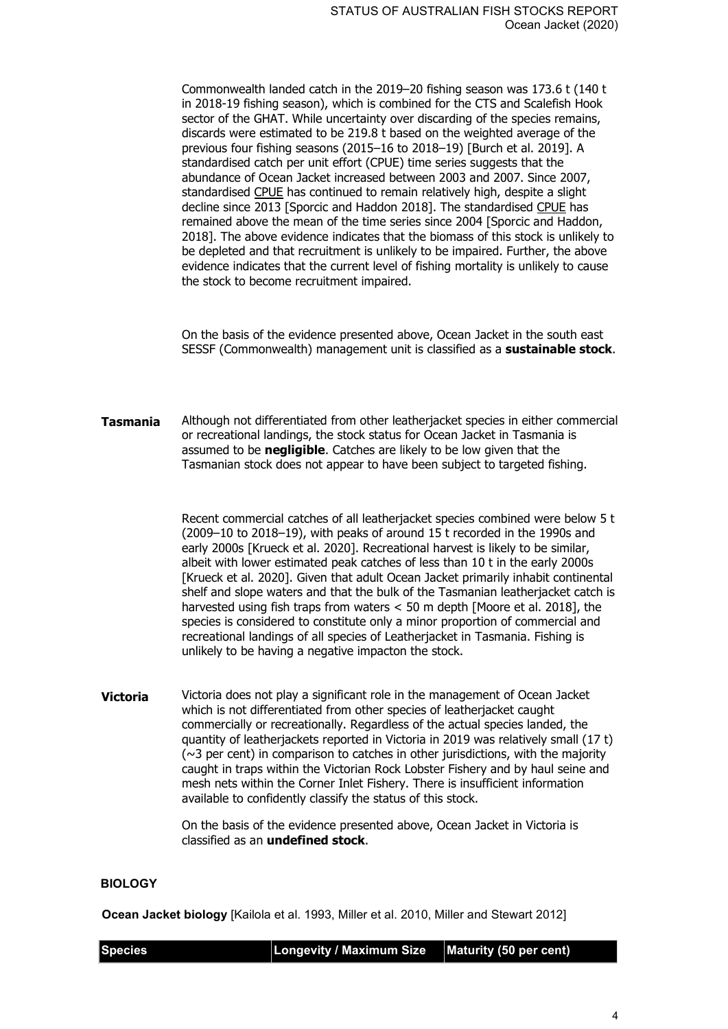Commonwealth landed catch in the 2019–20 fishing season was 173.6 t (140 t in 2018-19 fishing season), which is combined for the CTS and Scalefish Hook sector of the GHAT. While uncertainty over discarding of the species remains, discards were estimated to be 219.8 t based on the weighted average of the previous four fishing seasons (2015–16 to 2018–19) [Burch et al. 2019]. A standardised catch per unit effort (CPUE) time series suggests that the abundance of Ocean Jacket increased between 2003 and 2007. Since 2007, standardised CPUE has continued to remain relatively high, despite a slight decline since 2013 [Sporcic and Haddon 2018]. The standardised CPUE has remained above the mean of the time series since 2004 [Sporcic and Haddon, 2018]. The above evidence indicates that the biomass of this stock is unlikely to be depleted and that recruitment is unlikely to be impaired. Further, the above evidence indicates that the current level of fishing mortality is unlikely to cause the stock to become recruitment impaired.

On the basis of the evidence presented above, Ocean Jacket in the south east SESSF (Commonwealth) management unit is classified as a **sustainable stock**.

**Tasmania** Although not differentiated from other leatherjacket species in either commercial or recreational landings, the stock status for Ocean Jacket in Tasmania is assumed to be **negligible**. Catches are likely to be low given that the Tasmanian stock does not appear to have been subject to targeted fishing.

> Recent commercial catches of all leatherjacket species combined were below 5 t (2009–10 to 2018–19), with peaks of around 15 t recorded in the 1990s and early 2000s [Krueck et al. 2020]. Recreational harvest is likely to be similar, albeit with lower estimated peak catches of less than 10 t in the early 2000s [Krueck et al. 2020]. Given that adult Ocean Jacket primarily inhabit continental shelf and slope waters and that the bulk of the Tasmanian leatherjacket catch is harvested using fish traps from waters < 50 m depth [Moore et al. 2018], the species is considered to constitute only a minor proportion of commercial and recreational landings of all species of Leatherjacket in Tasmania. Fishing is unlikely to be having a negative impacton the stock.

**Victoria** Victoria does not play a significant role in the management of Ocean Jacket which is not differentiated from other species of leatherjacket caught commercially or recreationally. Regardless of the actual species landed, the quantity of leatherjackets reported in Victoria in 2019 was relatively small (17 t)  $(\sim$ 3 per cent) in comparison to catches in other jurisdictions, with the majority caught in traps within the Victorian Rock Lobster Fishery and by haul seine and mesh nets within the Corner Inlet Fishery. There is insufficient information available to confidently classify the status of this stock.

> On the basis of the evidence presented above, Ocean Jacket in Victoria is classified as an **undefined stock**.

#### **BIOLOGY**

**Ocean Jacket biology** [Kailola et al. 1993, Miller et al. 2010, Miller and Stewart 2012]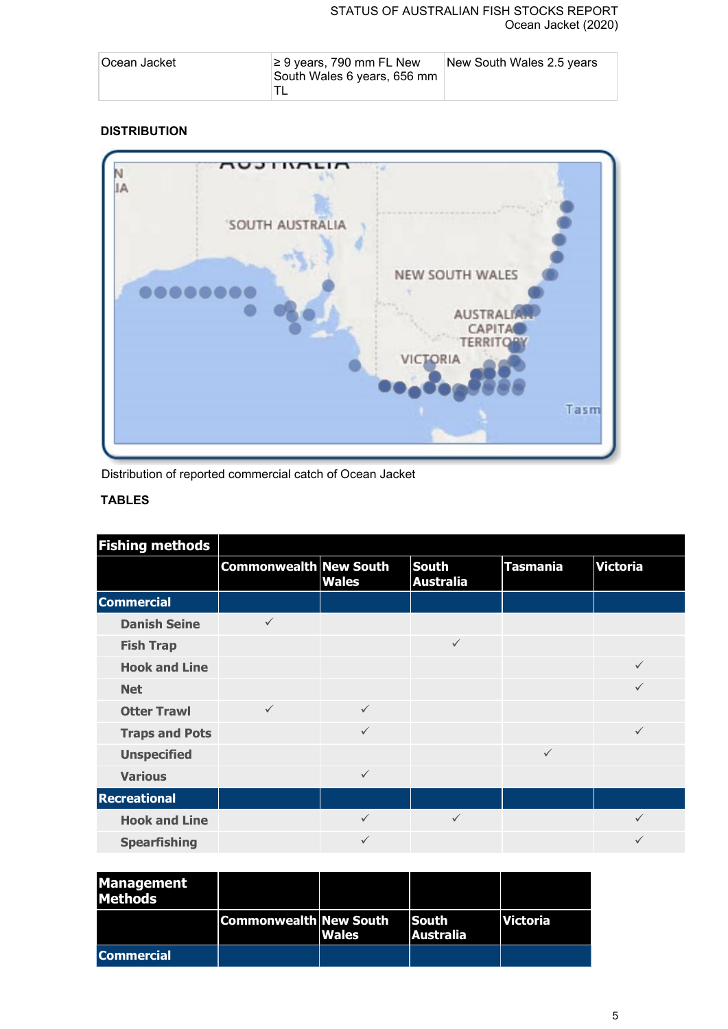## STATUS OF AUSTRALIAN FISH STOCKS REPORT Ocean Jacket (2020)

| ∣Ocean Jacket | ≥ 9 years, 790 mm FL New<br>South Wales 6 years, 656 mm | New South Wales 2.5 years |  |
|---------------|---------------------------------------------------------|---------------------------|--|
|               |                                                         |                           |  |

# **DISTRIBUTION**



Distribution of reported commercial catch of Ocean Jacket

# **TABLES**

| <b>Fishing methods</b> |                               |              |                                  |                 |                 |
|------------------------|-------------------------------|--------------|----------------------------------|-----------------|-----------------|
|                        | <b>Commonwealth New South</b> | <b>Wales</b> | <b>South</b><br><b>Australia</b> | <b>Tasmania</b> | <b>Victoria</b> |
| <b>Commercial</b>      |                               |              |                                  |                 |                 |
| <b>Danish Seine</b>    | $\checkmark$                  |              |                                  |                 |                 |
| <b>Fish Trap</b>       |                               |              | $\checkmark$                     |                 |                 |
| <b>Hook and Line</b>   |                               |              |                                  |                 |                 |
| <b>Net</b>             |                               |              |                                  |                 | ✓               |
| <b>Otter Trawl</b>     | $\checkmark$                  | $\checkmark$ |                                  |                 |                 |
| <b>Traps and Pots</b>  |                               | $\checkmark$ |                                  |                 | $\checkmark$    |
| <b>Unspecified</b>     |                               |              |                                  | $\checkmark$    |                 |
| <b>Various</b>         |                               | $\checkmark$ |                                  |                 |                 |
| <b>Recreational</b>    |                               |              |                                  |                 |                 |
| <b>Hook and Line</b>   |                               | $\checkmark$ | $\checkmark$                     |                 |                 |
| <b>Spearfishing</b>    |                               | $\checkmark$ |                                  |                 |                 |

| <b>Management</b><br><b>Methods</b> |                               |              |                                  |                 |
|-------------------------------------|-------------------------------|--------------|----------------------------------|-----------------|
|                                     | <b>Commonwealth New South</b> | <b>Wales</b> | <b>South</b><br><b>Australia</b> | <b>Victoria</b> |
| <b>Commercial</b>                   |                               |              |                                  |                 |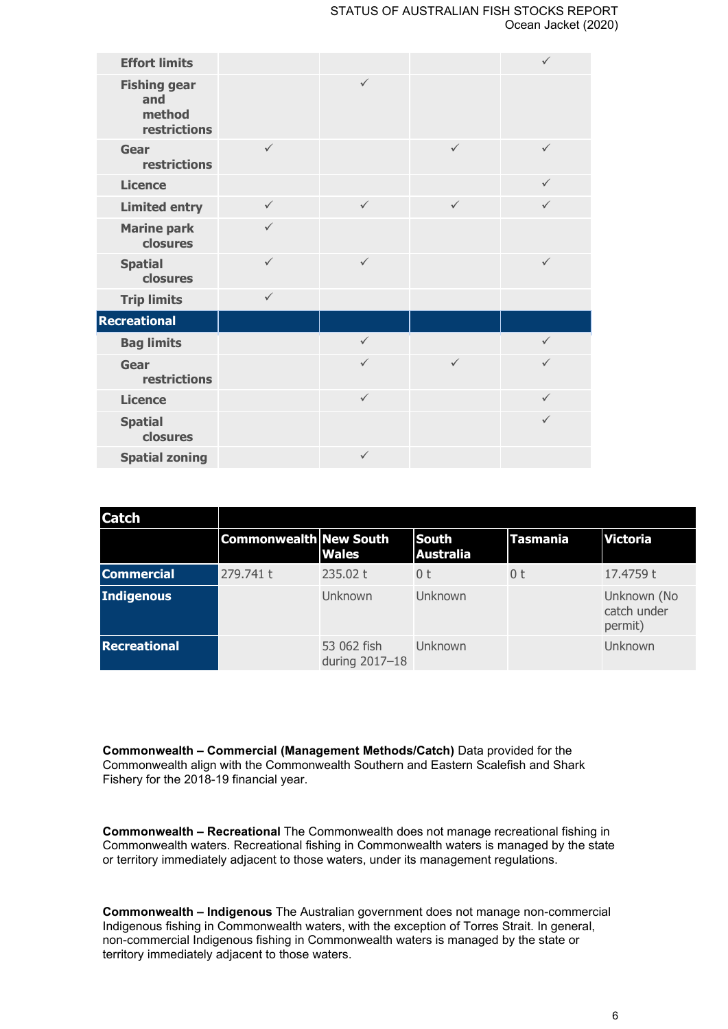#### STATUS OF AUSTRALIAN FISH STOCKS REPORT Ocean Jacket (2020)

| <b>Effort limits</b>                                 |              |              |              | $\checkmark$ |
|------------------------------------------------------|--------------|--------------|--------------|--------------|
| <b>Fishing gear</b><br>and<br>method<br>restrictions |              | $\checkmark$ |              |              |
| Gear<br>restrictions                                 | $\checkmark$ |              | $\checkmark$ | $\checkmark$ |
| <b>Licence</b>                                       |              |              |              | $\checkmark$ |
| <b>Limited entry</b>                                 | $\checkmark$ | $\checkmark$ | $\checkmark$ | $\checkmark$ |
| <b>Marine park</b><br>closures                       | $\checkmark$ |              |              |              |
| <b>Spatial</b><br>closures                           | $\checkmark$ | $\checkmark$ |              | $\checkmark$ |
| <b>Trip limits</b>                                   | $\checkmark$ |              |              |              |
| <b>Recreational</b>                                  |              |              |              |              |
| <b>Bag limits</b>                                    |              | $\checkmark$ |              | $\checkmark$ |
| Gear<br>restrictions                                 |              | $\checkmark$ | $\checkmark$ | $\checkmark$ |
| <b>Licence</b>                                       |              | $\checkmark$ |              | $\checkmark$ |
| <b>Spatial</b><br>closures                           |              |              |              | $\checkmark$ |
| <b>Spatial zoning</b>                                |              | $\checkmark$ |              |              |

| <b>Catch</b>        |                               |                               |                                  |                 |                                       |
|---------------------|-------------------------------|-------------------------------|----------------------------------|-----------------|---------------------------------------|
|                     | <b>Commonwealth New South</b> | <b>Wales</b>                  | <b>South</b><br><b>Australia</b> | <b>Tasmania</b> | <b>Victoria</b>                       |
| <b>Commercial</b>   | 279.741 t                     | 235.02 t                      | 0 t                              | 0 t             | 17.4759 t                             |
| Indigenous          |                               | Unknown                       | Unknown                          |                 | Unknown (No<br>catch under<br>permit) |
| <b>Recreational</b> |                               | 53 062 fish<br>during 2017-18 | Unknown                          |                 | Unknown                               |

**Commonwealth – Commercial (Management Methods/Catch)** Data provided for the Commonwealth align with the Commonwealth Southern and Eastern Scalefish and Shark Fishery for the 2018-19 financial year.

**Commonwealth – Recreational** The Commonwealth does not manage recreational fishing in Commonwealth waters. Recreational fishing in Commonwealth waters is managed by the state or territory immediately adjacent to those waters, under its management regulations.

**Commonwealth – Indigenous** The Australian government does not manage non-commercial Indigenous fishing in Commonwealth waters, with the exception of Torres Strait. In general, non-commercial Indigenous fishing in Commonwealth waters is managed by the state or territory immediately adjacent to those waters.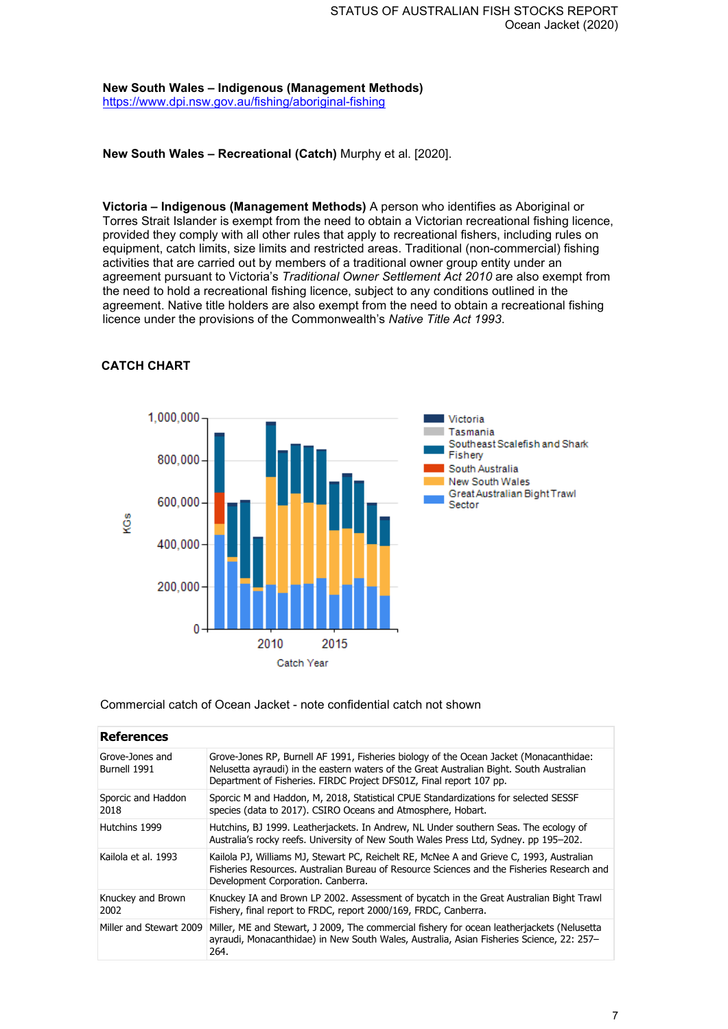**New South Wales – Indigenous (Management Methods)** <https://www.dpi.nsw.gov.au/fishing/aboriginal-fishing>

**New South Wales – Recreational (Catch)** Murphy et al. [2020].

**Victoria – Indigenous (Management Methods)** A person who identifies as Aboriginal or Torres Strait Islander is exempt from the need to obtain a Victorian recreational fishing licence, provided they comply with all other rules that apply to recreational fishers, including rules on equipment, catch limits, size limits and restricted areas. Traditional (non-commercial) fishing activities that are carried out by members of a traditional owner group entity under an agreement pursuant to Victoria's *Traditional Owner Settlement Act 2010* are also exempt from the need to hold a recreational fishing licence, subject to any conditions outlined in the agreement. Native title holders are also exempt from the need to obtain a recreational fishing licence under the provisions of the Commonwealth's *Native Title Act 1993*.



## **CATCH CHART**

Commercial catch of Ocean Jacket - note confidential catch not shown

| <b>References</b>               |                                                                                                                                                                                                                                                           |
|---------------------------------|-----------------------------------------------------------------------------------------------------------------------------------------------------------------------------------------------------------------------------------------------------------|
| Grove-Jones and<br>Burnell 1991 | Grove-Jones RP, Burnell AF 1991, Fisheries biology of the Ocean Jacket (Monacanthidae:<br>Nelusetta ayraudi) in the eastern waters of the Great Australian Bight. South Australian<br>Department of Fisheries. FIRDC Project DFS01Z, Final report 107 pp. |
| Sporcic and Haddon<br>2018      | Sporcic M and Haddon, M, 2018, Statistical CPUE Standardizations for selected SESSF<br>species (data to 2017). CSIRO Oceans and Atmosphere, Hobart.                                                                                                       |
| Hutchins 1999                   | Hutchins, BJ 1999. Leatherjackets. In Andrew, NL Under southern Seas. The ecology of<br>Australia's rocky reefs. University of New South Wales Press Ltd, Sydney. pp 195-202.                                                                             |
| Kailola et al. 1993             | Kailola PJ, Williams MJ, Stewart PC, Reichelt RE, McNee A and Grieve C, 1993, Australian<br>Fisheries Resources, Australian Bureau of Resource Sciences and the Fisheries Research and<br>Development Corporation. Canberra.                              |
| Knuckey and Brown<br>2002       | Knuckey IA and Brown LP 2002. Assessment of bycatch in the Great Australian Bight Trawl<br>Fishery, final report to FRDC, report 2000/169, FRDC, Canberra.                                                                                                |
| Miller and Stewart 2009         | Miller, ME and Stewart, J 2009, The commercial fishery for ocean leatherjackets (Nelusetta<br>ayraudi, Monacanthidae) in New South Wales, Australia, Asian Fisheries Science, 22: 257–<br>264.                                                            |